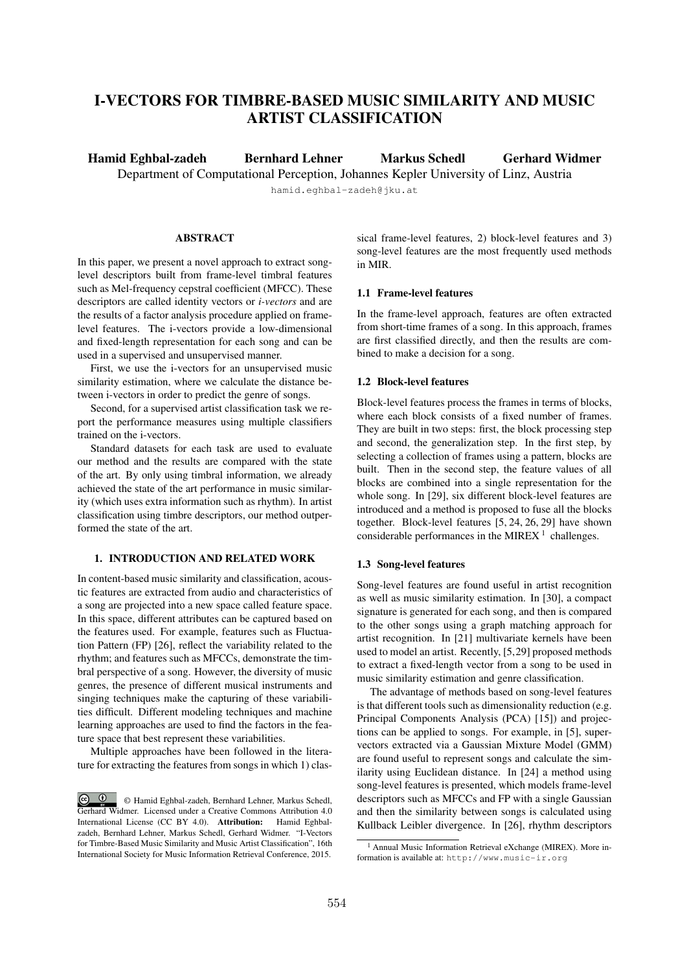# I-VECTORS FOR TIMBRE-BASED MUSIC SIMILARITY AND MUSIC ARTIST CLASSIFICATION

Hamid Eghbal-zadeh Bernhard Lehner Markus Schedl Gerhard Widmer Department of Computational Perception, Johannes Kepler University of Linz, Austria

hamid.eghbal-zadeh@jku.at

# **ABSTRACT**

In this paper, we present a novel approach to extract songlevel descriptors built from frame-level timbral features such as Mel-frequency cepstral coefficient (MFCC). These descriptors are called identity vectors or *i-vectors* and are the results of a factor analysis procedure applied on framelevel features. The i-vectors provide a low-dimensional and fixed-length representation for each song and can be used in a supervised and unsupervised manner.

First, we use the i-vectors for an unsupervised music similarity estimation, where we calculate the distance between i-vectors in order to predict the genre of songs.

Second, for a supervised artist classification task we report the performance measures using multiple classifiers trained on the i-vectors.

Standard datasets for each task are used to evaluate our method and the results are compared with the state of the art. By only using timbral information, we already achieved the state of the art performance in music similarity (which uses extra information such as rhythm). In artist classification using timbre descriptors, our method outperformed the state of the art.

# 1. INTRODUCTION AND RELATED WORK

In content-based music similarity and classification, acoustic features are extracted from audio and characteristics of a song are projected into a new space called feature space. In this space, different attributes can be captured based on the features used. For example, features such as Fluctuation Pattern (FP) [26], reflect the variability related to the rhythm; and features such as MFCCs, demonstrate the timbral perspective of a song. However, the diversity of music genres, the presence of different musical instruments and singing techniques make the capturing of these variabilities difficult. Different modeling techniques and machine learning approaches are used to find the factors in the feature space that best represent these variabilities.

Multiple approaches have been followed in the literature for extracting the features from songs in which 1) classical frame-level features, 2) block-level features and 3) song-level features are the most frequently used methods in MIR.

### 1.1 Frame-level features

In the frame-level approach, features are often extracted from short-time frames of a song. In this approach, frames are first classified directly, and then the results are combined to make a decision for a song.

### 1.2 Block-level features

Block-level features process the frames in terms of blocks, where each block consists of a fixed number of frames. They are built in two steps: first, the block processing step and second, the generalization step. In the first step, by selecting a collection of frames using a pattern, blocks are built. Then in the second step, the feature values of all blocks are combined into a single representation for the whole song. In [29], six different block-level features are introduced and a method is proposed to fuse all the blocks together. Block-level features [5, 24, 26, 29] have shown considerable performances in the MIREX<sup>1</sup> challenges.

### 1.3 Song-level features

Song-level features are found useful in artist recognition as well as music similarity estimation. In [30], a compact signature is generated for each song, and then is compared to the other songs using a graph matching approach for artist recognition. In [21] multivariate kernels have been used to model an artist. Recently, [5,29] proposed methods to extract a fixed-length vector from a song to be used in music similarity estimation and genre classification.

The advantage of methods based on song-level features is that different tools such as dimensionality reduction (e.g. Principal Components Analysis (PCA) [15]) and projections can be applied to songs. For example, in [5], supervectors extracted via a Gaussian Mixture Model (GMM) are found useful to represent songs and calculate the similarity using Euclidean distance. In [24] a method using song-level features is presented, which models frame-level descriptors such as MFCCs and FP with a single Gaussian and then the similarity between songs is calculated using Kullback Leibler divergence. In [26], rhythm descriptors

 $\circ$   $\circ$ © Hamid Eghbal-zadeh, Bernhard Lehner, Markus Schedl, Gerhard Widmer. Licensed under a Creative Commons Attribution 4.0 International License (CC BY 4.0). Attribution: Hamid Eghbalzadeh, Bernhard Lehner, Markus Schedl, Gerhard Widmer. "I-Vectors for Timbre-Based Music Similarity and Music Artist Classification", 16th International Society for Music Information Retrieval Conference, 2015.

<sup>&</sup>lt;sup>1</sup> Annual Music Information Retrieval eXchange (MIREX). More information is available at: http://www.music-ir.org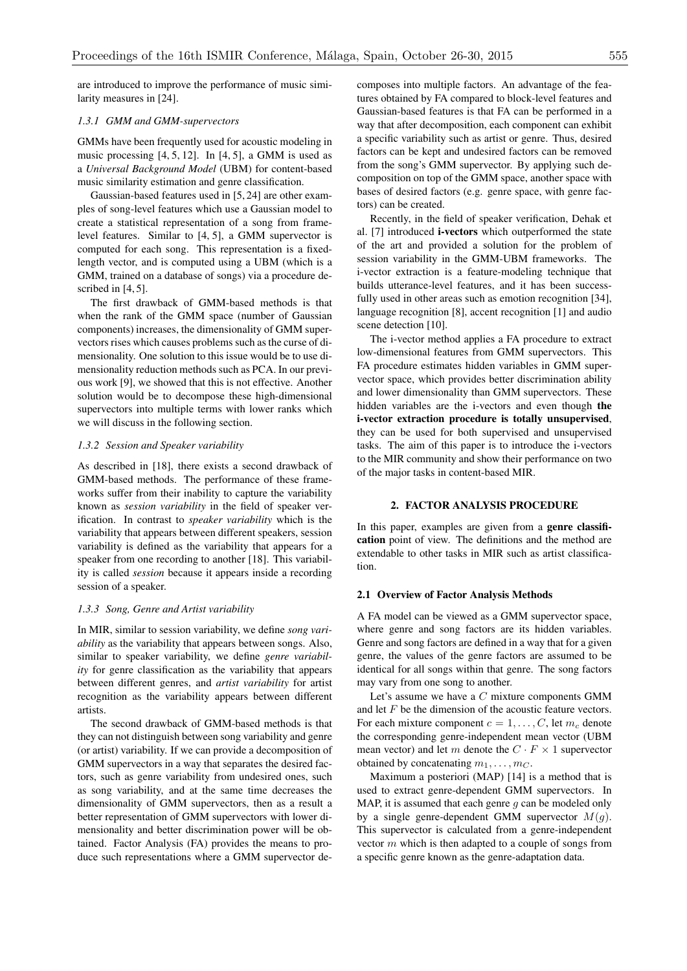are introduced to improve the performance of music similarity measures in [24].

### *1.3.1 GMM and GMM-supervectors*

GMMs have been frequently used for acoustic modeling in music processing [4, 5, 12]. In [4, 5], a GMM is used as a *Universal Background Model* (UBM) for content-based music similarity estimation and genre classification.

Gaussian-based features used in [5, 24] are other examples of song-level features which use a Gaussian model to create a statistical representation of a song from framelevel features. Similar to [4, 5], a GMM supervector is computed for each song. This representation is a fixedlength vector, and is computed using a UBM (which is a GMM, trained on a database of songs) via a procedure described in  $[4, 5]$ .

The first drawback of GMM-based methods is that when the rank of the GMM space (number of Gaussian components) increases, the dimensionality of GMM supervectors rises which causes problems such as the curse of dimensionality. One solution to this issue would be to use dimensionality reduction methods such as PCA. In our previous work [9], we showed that this is not effective. Another solution would be to decompose these high-dimensional supervectors into multiple terms with lower ranks which we will discuss in the following section.

# *1.3.2 Session and Speaker variability*

As described in [18], there exists a second drawback of GMM-based methods. The performance of these frameworks suffer from their inability to capture the variability known as *session variability* in the field of speaker verification. In contrast to *speaker variability* which is the variability that appears between different speakers, session variability is defined as the variability that appears for a speaker from one recording to another [18]. This variability is called *session* because it appears inside a recording session of a speaker.

#### *1.3.3 Song, Genre and Artist variability*

In MIR, similar to session variability, we define *song variability* as the variability that appears between songs. Also, similar to speaker variability, we define *genre variability* for genre classification as the variability that appears between different genres, and *artist variability* for artist recognition as the variability appears between different artists.

The second drawback of GMM-based methods is that they can not distinguish between song variability and genre (or artist) variability. If we can provide a decomposition of GMM supervectors in a way that separates the desired factors, such as genre variability from undesired ones, such as song variability, and at the same time decreases the dimensionality of GMM supervectors, then as a result a better representation of GMM supervectors with lower dimensionality and better discrimination power will be obtained. Factor Analysis (FA) provides the means to produce such representations where a GMM supervector decomposes into multiple factors. An advantage of the features obtained by FA compared to block-level features and Gaussian-based features is that FA can be performed in a way that after decomposition, each component can exhibit a specific variability such as artist or genre. Thus, desired factors can be kept and undesired factors can be removed from the song's GMM supervector. By applying such decomposition on top of the GMM space, another space with bases of desired factors (e.g. genre space, with genre factors) can be created.

Recently, in the field of speaker verification, Dehak et al. [7] introduced i-vectors which outperformed the state of the art and provided a solution for the problem of session variability in the GMM-UBM frameworks. The i-vector extraction is a feature-modeling technique that builds utterance-level features, and it has been successfully used in other areas such as emotion recognition [34], language recognition [8], accent recognition [1] and audio scene detection [10].

The i-vector method applies a FA procedure to extract low-dimensional features from GMM supervectors. This FA procedure estimates hidden variables in GMM supervector space, which provides better discrimination ability and lower dimensionality than GMM supervectors. These hidden variables are the i-vectors and even though the i-vector extraction procedure is totally unsupervised, they can be used for both supervised and unsupervised tasks. The aim of this paper is to introduce the i-vectors to the MIR community and show their performance on two of the major tasks in content-based MIR.

# 2. FACTOR ANALYSIS PROCEDURE

In this paper, examples are given from a genre classification point of view. The definitions and the method are extendable to other tasks in MIR such as artist classification.

#### 2.1 Overview of Factor Analysis Methods

A FA model can be viewed as a GMM supervector space, where genre and song factors are its hidden variables. Genre and song factors are defined in a way that for a given genre, the values of the genre factors are assumed to be identical for all songs within that genre. The song factors may vary from one song to another.

Let's assume we have a *C* mixture components GMM and let *F* be the dimension of the acoustic feature vectors. For each mixture component  $c = 1, \ldots, C$ , let  $m_c$  denote the corresponding genre-independent mean vector (UBM mean vector) and let *m* denote the  $C \cdot F \times 1$  supervector obtained by concatenating  $m_1, \ldots, m_C$ .

Maximum a posteriori (MAP) [14] is a method that is used to extract genre-dependent GMM supervectors. In MAP, it is assumed that each genre *g* can be modeled only by a single genre-dependent GMM supervector *M*(*g*). This supervector is calculated from a genre-independent vector *m* which is then adapted to a couple of songs from a specific genre known as the genre-adaptation data.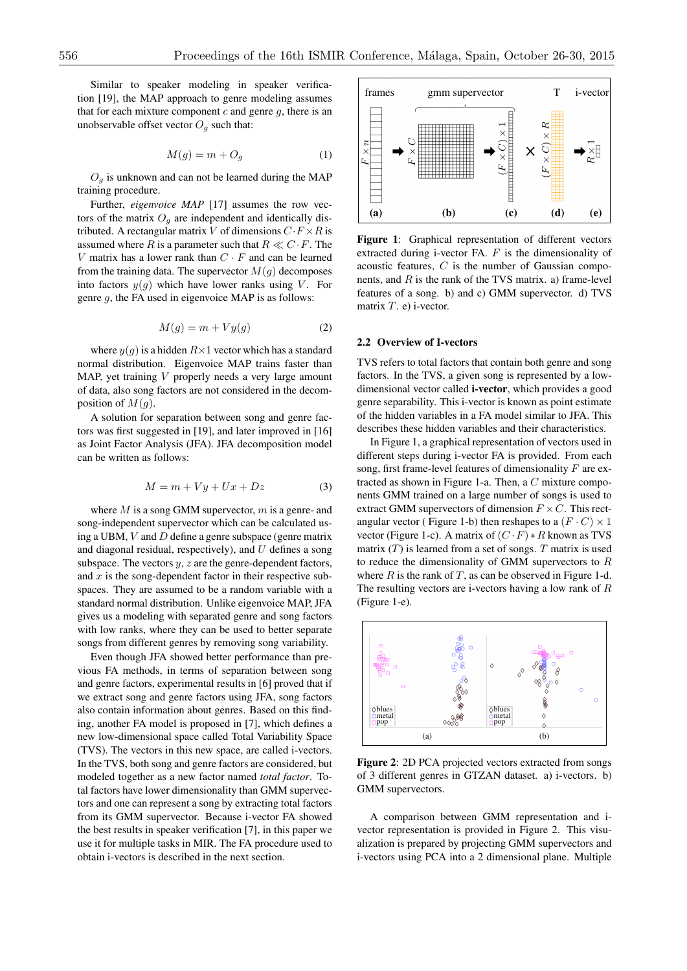Similar to speaker modeling in speaker verification [19], the MAP approach to genre modeling assumes that for each mixture component *c* and genre *g*, there is an unobservable offset vector  $O_q$  such that:

$$
M(g) = m + O_g \tag{1}
$$

 $O_q$  is unknown and can not be learned during the MAP training procedure.

Further, *eigenvoice MAP* [17] assumes the row vectors of the matrix  $O<sub>g</sub>$  are independent and identically distributed. A rectangular matrix *V* of dimensions  $C \cdot F \times R$  is assumed where *R* is a parameter such that  $R \ll C \cdot F$ . The *V* matrix has a lower rank than  $C \cdot F$  and can be learned from the training data. The supervector  $M(q)$  decomposes into factors  $y(g)$  which have lower ranks using *V*. For genre *g*, the FA used in eigenvoice MAP is as follows:

$$
M(g) = m + Vy(g) \tag{2}
$$

where  $y(g)$  is a hidden  $R \times 1$  vector which has a standard normal distribution. Eigenvoice MAP trains faster than MAP, yet training *V* properly needs a very large amount of data, also song factors are not considered in the decomposition of  $M(g)$ .

A solution for separation between song and genre factors was first suggested in [19], and later improved in [16] as Joint Factor Analysis (JFA). JFA decomposition model can be written as follows:

$$
M = m + Vy + Ux + Dz \tag{3}
$$

where *M* is a song GMM supervector, *m* is a genre- and song-independent supervector which can be calculated using a UBM, *V* and *D* define a genre subspace (genre matrix and diagonal residual, respectively), and *U* defines a song subspace. The vectors  $y$ ,  $z$  are the genre-dependent factors, and *x* is the song-dependent factor in their respective subspaces. They are assumed to be a random variable with a standard normal distribution. Unlike eigenvoice MAP, JFA gives us a modeling with separated genre and song factors with low ranks, where they can be used to better separate songs from different genres by removing song variability.

Even though JFA showed better performance than previous FA methods, in terms of separation between song and genre factors, experimental results in [6] proved that if we extract song and genre factors using JFA, song factors also contain information about genres. Based on this finding, another FA model is proposed in [7], which defines a new low-dimensional space called Total Variability Space (TVS). The vectors in this new space, are called i-vectors. In the TVS, both song and genre factors are considered, but modeled together as a new factor named *total factor*. Total factors have lower dimensionality than GMM supervectors and one can represent a song by extracting total factors from its GMM supervector. Because i-vector FA showed the best results in speaker verification [7], in this paper we use it for multiple tasks in MIR. The FA procedure used to obtain i-vectors is described in the next section.



Figure 1: Graphical representation of different vectors extracted during i-vector FA. *F* is the dimensionality of acoustic features, *C* is the number of Gaussian components, and *R* is the rank of the TVS matrix. a) frame-level features of a song. b) and c) GMM supervector. d) TVS matrix *T*. e) i-vector.

### 2.2 Overview of I-vectors

TVS refers to total factors that contain both genre and song factors. In the TVS, a given song is represented by a lowdimensional vector called i-vector, which provides a good genre separability. This i-vector is known as point estimate of the hidden variables in a FA model similar to JFA. This describes these hidden variables and their characteristics.

In Figure 1, a graphical representation of vectors used in different steps during i-vector FA is provided. From each song, first frame-level features of dimensionality *F* are extracted as shown in Figure 1-a. Then, a *C* mixture components GMM trained on a large number of songs is used to extract GMM supervectors of dimension  $F \times C$ . This rectangular vector (Figure 1-b) then reshapes to a  $(F \cdot C) \times 1$ vector (Figure 1-c). A matrix of  $(C \cdot F) * R$  known as TVS matrix (*T*) is learned from a set of songs. *T* matrix is used to reduce the dimensionality of GMM supervectors to *R* where  $R$  is the rank of  $T$ , as can be observed in Figure 1-d. The resulting vectors are i-vectors having a low rank of *R* (Figure 1-e).



Figure 2: 2D PCA projected vectors extracted from songs of 3 different genres in GTZAN dataset. a) i-vectors. b) GMM supervectors.

A comparison between GMM representation and ivector representation is provided in Figure 2. This visualization is prepared by projecting GMM supervectors and i-vectors using PCA into a 2 dimensional plane. Multiple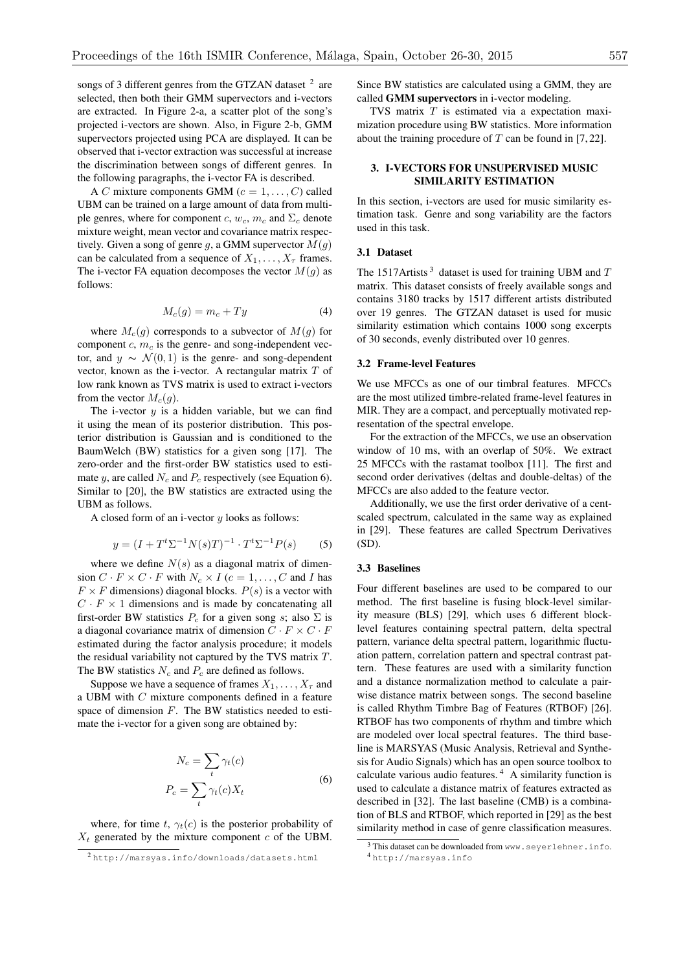songs of 3 different genres from the GTZAN dataset  $2$  are selected, then both their GMM supervectors and i-vectors are extracted. In Figure 2-a, a scatter plot of the song's projected i-vectors are shown. Also, in Figure 2-b, GMM supervectors projected using PCA are displayed. It can be observed that i-vector extraction was successful at increase the discrimination between songs of different genres. In the following paragraphs, the i-vector FA is described.

A *C* mixture components GMM ( $c = 1, \ldots, C$ ) called UBM can be trained on a large amount of data from multiple genres, where for component *c*,  $w_c$ ,  $m_c$  and  $\Sigma_c$  denote mixture weight, mean vector and covariance matrix respectively. Given a song of genre *g*, a GMM supervector *M*(*g*) can be calculated from a sequence of  $X_1, \ldots, X_\tau$  frames. The i-vector FA equation decomposes the vector  $M(q)$  as follows:

$$
M_c(g) = m_c + Ty \tag{4}
$$

where  $M_c(g)$  corresponds to a subvector of  $M(g)$  for component *c*, *m<sup>c</sup>* is the genre- and song-independent vector, and  $y \sim \mathcal{N}(0, 1)$  is the genre- and song-dependent vector, known as the i-vector. A rectangular matrix *T* of low rank known as TVS matrix is used to extract i-vectors from the vector  $M_c(q)$ .

The i-vector  $y$  is a hidden variable, but we can find it using the mean of its posterior distribution. This posterior distribution is Gaussian and is conditioned to the BaumWelch (BW) statistics for a given song [17]. The zero-order and the first-order BW statistics used to estimate *y*, are called  $N_c$  and  $P_c$  respectively (see Equation 6). Similar to [20], the BW statistics are extracted using the UBM as follows.

A closed form of an i-vector *y* looks as follows:

$$
y = (I + Tt \Sigma-1 N(s)T)-1 \cdot Tt \Sigma-1 P(s)
$$
 (5)

where we define  $N(s)$  as a diagonal matrix of dimension  $C \cdot F \times C \cdot F$  with  $N_c \times I$  ( $c = 1, \ldots, C$  and *I* has  $F \times F$  dimensions) diagonal blocks.  $P(s)$  is a vector with  $C \cdot F \times 1$  dimensions and is made by concatenating all first-order BW statistics  $P_c$  for a given song *s*; also  $\Sigma$  is a diagonal covariance matrix of dimension  $C \cdot F \times C \cdot F$ estimated during the factor analysis procedure; it models the residual variability not captured by the TVS matrix *T*. The BW statistics *N<sup>c</sup>* and *P<sup>c</sup>* are defined as follows.

Suppose we have a sequence of frames  $X_1, \ldots, X_\tau$  and a UBM with *C* mixture components defined in a feature space of dimension *F*. The BW statistics needed to estimate the i-vector for a given song are obtained by:

$$
N_c = \sum_t \gamma_t(c)
$$
  
\n
$$
P_c = \sum_t \gamma_t(c) X_t
$$
 (6)

where, for time  $t$ ,  $\gamma_t(c)$  is the posterior probability of  $X_t$  generated by the mixture component  $c$  of the UBM.

Since BW statistics are calculated using a GMM, they are called GMM supervectors in i-vector modeling.

TVS matrix *T* is estimated via a expectation maximization procedure using BW statistics. More information about the training procedure of *T* can be found in [7, 22].

# 3. I-VECTORS FOR UNSUPERVISED MUSIC SIMILARITY ESTIMATION

In this section, i-vectors are used for music similarity estimation task. Genre and song variability are the factors used in this task.

### 3.1 Dataset

The 1517Artists<sup>3</sup> dataset is used for training UBM and T matrix. This dataset consists of freely available songs and contains 3180 tracks by 1517 different artists distributed over 19 genres. The GTZAN dataset is used for music similarity estimation which contains 1000 song excerpts of 30 seconds, evenly distributed over 10 genres.

#### 3.2 Frame-level Features

We use MFCCs as one of our timbral features. MFCCs are the most utilized timbre-related frame-level features in MIR. They are a compact, and perceptually motivated representation of the spectral envelope.

For the extraction of the MFCCs, we use an observation window of 10 ms, with an overlap of 50%. We extract 25 MFCCs with the rastamat toolbox [11]. The first and second order derivatives (deltas and double-deltas) of the MFCCs are also added to the feature vector.

Additionally, we use the first order derivative of a centscaled spectrum, calculated in the same way as explained in [29]. These features are called Spectrum Derivatives (SD).

#### 3.3 Baselines

Four different baselines are used to be compared to our method. The first baseline is fusing block-level similarity measure (BLS) [29], which uses 6 different blocklevel features containing spectral pattern, delta spectral pattern, variance delta spectral pattern, logarithmic fluctuation pattern, correlation pattern and spectral contrast pattern. These features are used with a similarity function and a distance normalization method to calculate a pairwise distance matrix between songs. The second baseline is called Rhythm Timbre Bag of Features (RTBOF) [26]. RTBOF has two components of rhythm and timbre which are modeled over local spectral features. The third baseline is MARSYAS (Music Analysis, Retrieval and Synthesis for Audio Signals) which has an open source toolbox to calculate various audio features. <sup>4</sup> A similarity function is used to calculate a distance matrix of features extracted as described in [32]. The last baseline (CMB) is a combination of BLS and RTBOF, which reported in [29] as the best similarity method in case of genre classification measures.

<sup>2</sup> http://marsyas.info/downloads/datasets.html

<sup>&</sup>lt;sup>3</sup> This dataset can be downloaded from www.seyerlehner.info. <sup>4</sup> http://marsyas.info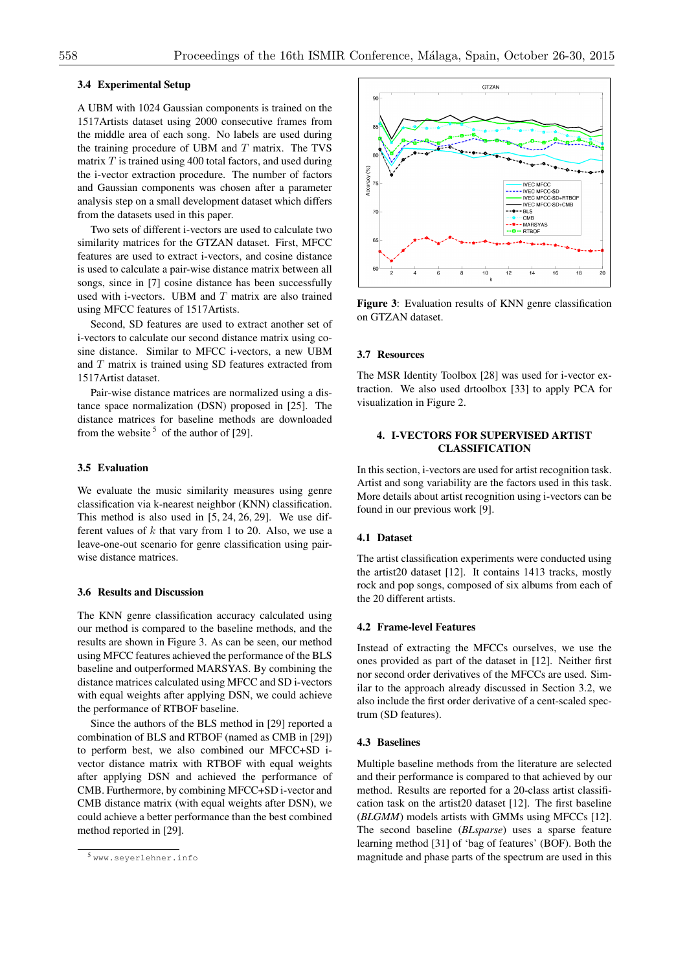# 3.4 Experimental Setup

A UBM with 1024 Gaussian components is trained on the 1517Artists dataset using 2000 consecutive frames from the middle area of each song. No labels are used during the training procedure of UBM and *T* matrix. The TVS matrix *T* is trained using 400 total factors, and used during the i-vector extraction procedure. The number of factors and Gaussian components was chosen after a parameter analysis step on a small development dataset which differs from the datasets used in this paper.

Two sets of different i-vectors are used to calculate two similarity matrices for the GTZAN dataset. First, MFCC features are used to extract i-vectors, and cosine distance is used to calculate a pair-wise distance matrix between all songs, since in [7] cosine distance has been successfully used with i-vectors. UBM and *T* matrix are also trained using MFCC features of 1517Artists.

Second, SD features are used to extract another set of i-vectors to calculate our second distance matrix using cosine distance. Similar to MFCC i-vectors, a new UBM and *T* matrix is trained using SD features extracted from 1517Artist dataset.

Pair-wise distance matrices are normalized using a distance space normalization (DSN) proposed in [25]. The distance matrices for baseline methods are downloaded from the website<sup>5</sup> of the author of [29].

# 3.5 Evaluation

We evaluate the music similarity measures using genre classification via k-nearest neighbor (KNN) classification. This method is also used in [5, 24, 26, 29]. We use different values of *k* that vary from 1 to 20. Also, we use a leave-one-out scenario for genre classification using pairwise distance matrices.

### 3.6 Results and Discussion

The KNN genre classification accuracy calculated using our method is compared to the baseline methods, and the results are shown in Figure 3. As can be seen, our method using MFCC features achieved the performance of the BLS baseline and outperformed MARSYAS. By combining the distance matrices calculated using MFCC and SD i-vectors with equal weights after applying DSN, we could achieve the performance of RTBOF baseline.

Since the authors of the BLS method in [29] reported a combination of BLS and RTBOF (named as CMB in [29]) to perform best, we also combined our MFCC+SD ivector distance matrix with RTBOF with equal weights after applying DSN and achieved the performance of CMB. Furthermore, by combining MFCC+SD i-vector and CMB distance matrix (with equal weights after DSN), we could achieve a better performance than the best combined method reported in [29].



Figure 3: Evaluation results of KNN genre classification on GTZAN dataset.

#### 3.7 Resources

The MSR Identity Toolbox [28] was used for i-vector extraction. We also used drtoolbox [33] to apply PCA for visualization in Figure 2.

# 4. I-VECTORS FOR SUPERVISED ARTIST **CLASSIFICATION**

In this section, i-vectors are used for artist recognition task. Artist and song variability are the factors used in this task. More details about artist recognition using i-vectors can be found in our previous work [9].

### 4.1 Dataset

The artist classification experiments were conducted using the artist20 dataset [12]. It contains 1413 tracks, mostly rock and pop songs, composed of six albums from each of the 20 different artists.

#### 4.2 Frame-level Features

Instead of extracting the MFCCs ourselves, we use the ones provided as part of the dataset in [12]. Neither first nor second order derivatives of the MFCCs are used. Similar to the approach already discussed in Section 3.2, we also include the first order derivative of a cent-scaled spectrum (SD features).

#### 4.3 Baselines

Multiple baseline methods from the literature are selected and their performance is compared to that achieved by our method. Results are reported for a 20-class artist classification task on the artist20 dataset [12]. The first baseline (*BLGMM*) models artists with GMMs using MFCCs [12]. The second baseline (*BLsparse*) uses a sparse feature learning method [31] of 'bag of features' (BOF). Both the magnitude and phase parts of the spectrum are used in this

<sup>5</sup> www.seyerlehner.info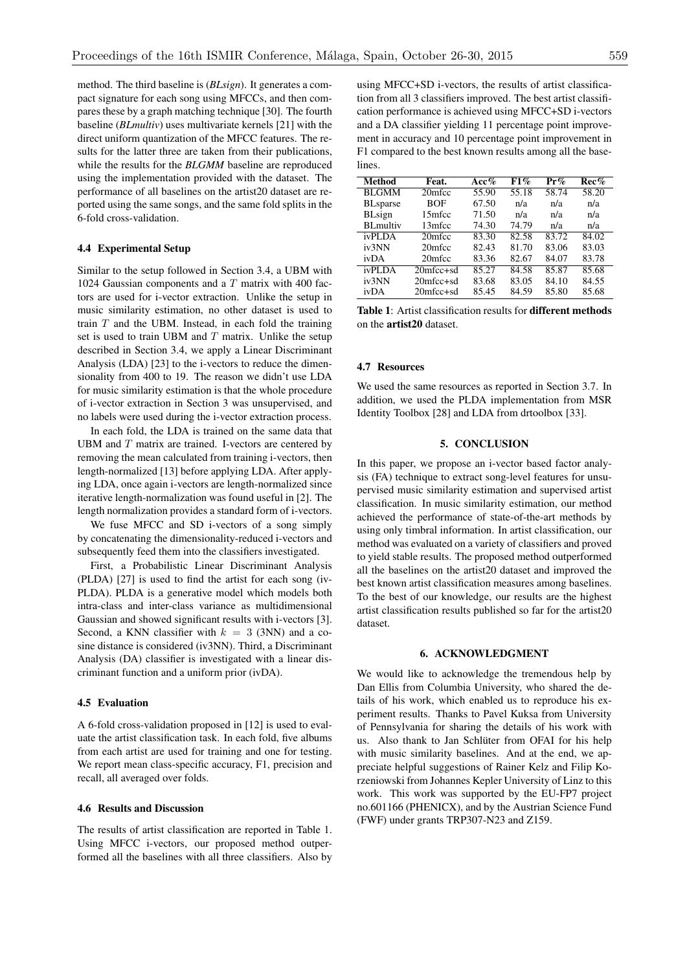method. The third baseline is (*BLsign*). It generates a compact signature for each song using MFCCs, and then compares these by a graph matching technique [30]. The fourth baseline (*BLmultiv*) uses multivariate kernels [21] with the direct uniform quantization of the MFCC features. The results for the latter three are taken from their publications, while the results for the *BLGMM* baseline are reproduced using the implementation provided with the dataset. The performance of all baselines on the artist20 dataset are reported using the same songs, and the same fold splits in the 6-fold cross-validation.

# 4.4 Experimental Setup

Similar to the setup followed in Section 3.4, a UBM with 1024 Gaussian components and a *T* matrix with 400 factors are used for i-vector extraction. Unlike the setup in music similarity estimation, no other dataset is used to train *T* and the UBM. Instead, in each fold the training set is used to train UBM and *T* matrix. Unlike the setup described in Section 3.4, we apply a Linear Discriminant Analysis (LDA) [23] to the i-vectors to reduce the dimensionality from 400 to 19. The reason we didn't use LDA for music similarity estimation is that the whole procedure of i-vector extraction in Section 3 was unsupervised, and no labels were used during the i-vector extraction process.

In each fold, the LDA is trained on the same data that UBM and *T* matrix are trained. I-vectors are centered by removing the mean calculated from training i-vectors, then length-normalized [13] before applying LDA. After applying LDA, once again i-vectors are length-normalized since iterative length-normalization was found useful in [2]. The length normalization provides a standard form of i-vectors.

We fuse MFCC and SD i-vectors of a song simply by concatenating the dimensionality-reduced i-vectors and subsequently feed them into the classifiers investigated.

First, a Probabilistic Linear Discriminant Analysis (PLDA) [27] is used to find the artist for each song (iv-PLDA). PLDA is a generative model which models both intra-class and inter-class variance as multidimensional Gaussian and showed significant results with i-vectors [3]. Second, a KNN classifier with  $k = 3$  (3NN) and a cosine distance is considered (iv3NN). Third, a Discriminant Analysis (DA) classifier is investigated with a linear discriminant function and a uniform prior (ivDA).

# 4.5 Evaluation

A 6-fold cross-validation proposed in [12] is used to evaluate the artist classification task. In each fold, five albums from each artist are used for training and one for testing. We report mean class-specific accuracy, F1, precision and recall, all averaged over folds.

#### 4.6 Results and Discussion

The results of artist classification are reported in Table 1. Using MFCC i-vectors, our proposed method outperformed all the baselines with all three classifiers. Also by

using MFCC+SD i-vectors, the results of artist classification from all 3 classifiers improved. The best artist classification performance is achieved using MFCC+SD i-vectors and a DA classifier yielding 11 percentage point improvement in accuracy and 10 percentage point improvement in F1 compared to the best known results among all the base**lines** 

| Method           | Feat.            | Acc%               | F1%   | $Pr\%$ | Rec%               |
|------------------|------------------|--------------------|-------|--------|--------------------|
| <b>BLGMM</b>     | 20mfcc           | 55.90              | 55.18 | 58.74  | $58.\overline{20}$ |
| <b>BL</b> sparse | <b>BOF</b>       | 67.50              | n/a   | n/a    | n/a                |
| <b>BLsign</b>    | 15mfcc           | 71.50              | n/a   | n/a    | n/a                |
| <b>BL</b> multiv | 13mfcc           | 74.30              | 74.79 | n/a    | n/a                |
| ivPLDA           | 20mfcc           | 83.30              | 82.58 | 83.72  | 84.02              |
| iv3NN            | 20mfcc           | 82.43              | 81.70 | 83.06  | 83.03              |
| ivDA             | 20mfcc           | 83.36              | 82.67 | 84.07  | 83.78              |
| ivPLDA           | $20$ mfcc $+$ sd | $85.\overline{27}$ | 84.58 | 85.87  | 85.68              |
| iv3NN            | $20$ mfcc $+$ sd | 83.68              | 83.05 | 84.10  | 84.55              |
| ivDA             | $20$ mfcc $+$ sd | 85.45              | 84.59 | 85.80  | 85.68              |

Table 1: Artist classification results for different methods on the artist20 dataset.

# 4.7 Resources

We used the same resources as reported in Section 3.7. In addition, we used the PLDA implementation from MSR Identity Toolbox [28] and LDA from drtoolbox [33].

# 5. CONCLUSION

In this paper, we propose an i-vector based factor analysis (FA) technique to extract song-level features for unsupervised music similarity estimation and supervised artist classification. In music similarity estimation, our method achieved the performance of state-of-the-art methods by using only timbral information. In artist classification, our method was evaluated on a variety of classifiers and proved to yield stable results. The proposed method outperformed all the baselines on the artist20 dataset and improved the best known artist classification measures among baselines. To the best of our knowledge, our results are the highest artist classification results published so far for the artist20 dataset.

# 6. ACKNOWLEDGMENT

We would like to acknowledge the tremendous help by Dan Ellis from Columbia University, who shared the details of his work, which enabled us to reproduce his experiment results. Thanks to Pavel Kuksa from University of Pennsylvania for sharing the details of his work with us. Also thank to Jan Schlüter from OFAI for his help with music similarity baselines. And at the end, we appreciate helpful suggestions of Rainer Kelz and Filip Korzeniowski from Johannes Kepler University of Linz to this work. This work was supported by the EU-FP7 project no.601166 (PHENICX), and by the Austrian Science Fund (FWF) under grants TRP307-N23 and Z159.